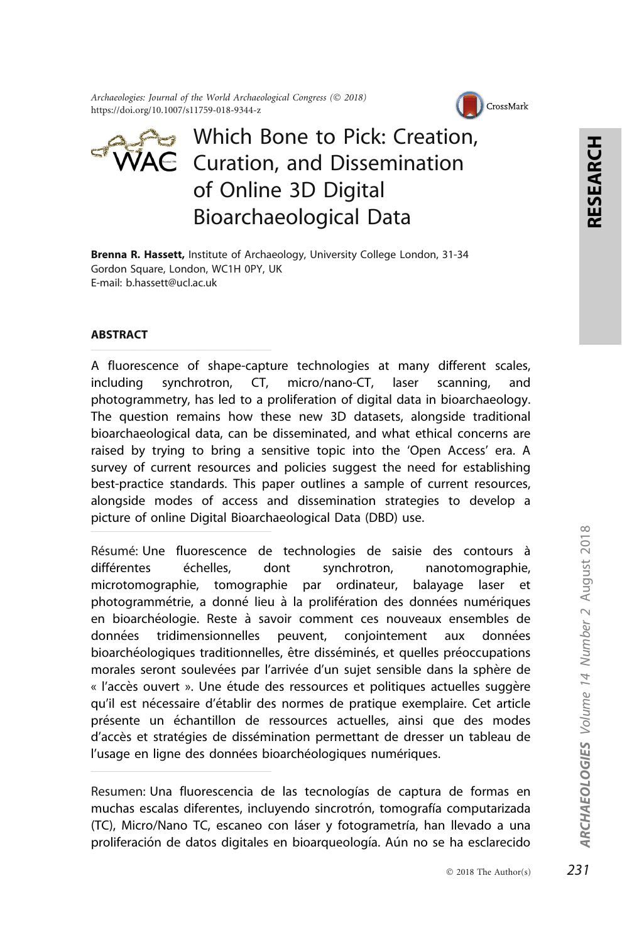Archaeologies: Journal of the World Archaeological Congress (© 2018) https://doi.org/10.1007/s11759-018-9344-z



# **■ Which Bone to Pick: Creation,**  $\overline{\text{V}}$ A $\in$  Curation, and Dissemination of Online 3D Digital Bioarchaeological Data

Brenna R. Hassett, Institute of Archaeology, University College London, 31-34 Gordon Square, London, WC1H 0PY, UK E-mail: b.hassett@ucl.ac.uk

#### ABSTRACT

A fluorescence of shape-capture technologies at many different scales, including synchrotron, CT, micro/nano-CT, laser scanning, and photogrammetry, has led to a proliferation of digital data in bioarchaeology. The question remains how these new 3D datasets, alongside traditional bioarchaeological data, can be disseminated, and what ethical concerns are raised by trying to bring a sensitive topic into the 'Open Access' era. A survey of current resources and policies suggest the need for establishing best-practice standards. This paper outlines a sample of current resources, alongside modes of access and dissemination strategies to develop a picture of online Digital Bioarchaeological Data (DBD) use.

Résumé: Une fluorescence de technologies de saisie des contours à différentes échelles, dont synchrotron, nanotomographie, microtomographie, tomographie par ordinateur, balayage laser et photogrammétrie, a donné lieu à la prolifération des données numériques en bioarchéologie. Reste à savoir comment ces nouveaux ensembles de données tridimensionnelles peuvent, conjointement aux données bioarchéologiques traditionnelles, être disséminés, et quelles préoccupations morales seront soulevées par l'arrivée d'un sujet sensible dans la sphère de « l'accès ouvert ». Une étude des ressources et politiques actuelles suggère qu'il est nécessaire d'établir des normes de pratique exemplaire. Cet article présente un échantillon de ressources actuelles, ainsi que des modes d'accès et stratégies de dissémination permettant de dresser un tableau de l'usage en ligne des données bioarchéologiques numériques.

Resumen: Una fluorescencia de las tecnologías de captura de formas en muchas escalas diferentes, incluyendo sincrotrón, tomografía computarizada (TC), Micro/Nano TC, escaneo con láser y fotogrametría, han llevado a una proliferación de datos digitales en bioarqueología. Aún no se ha esclarecido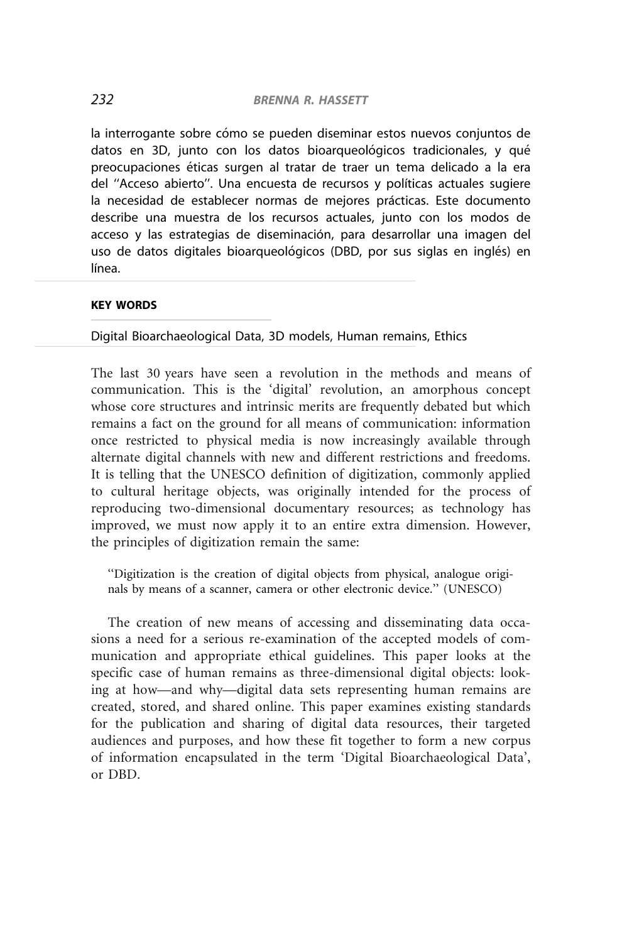la interrogante sobre cómo se pueden diseminar estos nuevos conjuntos de datos en 3D, junto con los datos bioarqueológicos tradicionales, y qué preocupaciones éticas surgen al tratar de traer un tema delicado a la era del "Acceso abierto". Una encuesta de recursos y políticas actuales sugiere la necesidad de establecer normas de mejores prácticas. Este documento describe una muestra de los recursos actuales, junto con los modos de acceso y las estrategias de diseminación, para desarrollar una imagen del uso de datos digitales bioarqueológicos (DBD, por sus siglas en inglés) en  $\blacksquare$  línea.

#### KEY WORDS

Digital Bioarchaeological Data, 3D models, Human remains, Ethics

The last 30 years have seen a revolution in the methods and means of communication. This is the 'digital' revolution, an amorphous concept whose core structures and intrinsic merits are frequently debated but which remains a fact on the ground for all means of communication: information once restricted to physical media is now increasingly available through alternate digital channels with new and different restrictions and freedoms. It is telling that the UNESCO definition of digitization, commonly applied to cultural heritage objects, was originally intended for the process of reproducing two-dimensional documentary resources; as technology has improved, we must now apply it to an entire extra dimension. However, the principles of digitization remain the same:

''Digitization is the creation of digital objects from physical, analogue originals by means of a scanner, camera or other electronic device.'' (UNESCO)

The creation of new means of accessing and disseminating data occasions a need for a serious re-examination of the accepted models of communication and appropriate ethical guidelines. This paper looks at the specific case of human remains as three-dimensional digital objects: looking at how—and why—digital data sets representing human remains are created, stored, and shared online. This paper examines existing standards for the publication and sharing of digital data resources, their targeted audiences and purposes, and how these fit together to form a new corpus of information encapsulated in the term 'Digital Bioarchaeological Data', or DBD.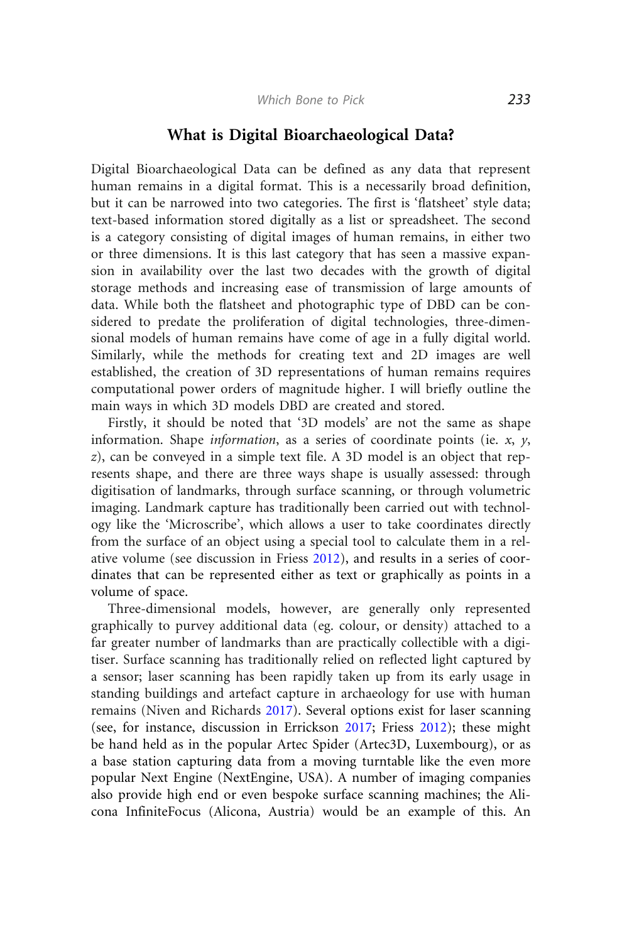#### What is Digital Bioarchaeological Data?

Digital Bioarchaeological Data can be defined as any data that represent human remains in a digital format. This is a necessarily broad definition, but it can be narrowed into two categories. The first is 'flatsheet' style data; text-based information stored digitally as a list or spreadsheet. The second is a category consisting of digital images of human remains, in either two or three dimensions. It is this last category that has seen a massive expansion in availability over the last two decades with the growth of digital storage methods and increasing ease of transmission of large amounts of data. While both the flatsheet and photographic type of DBD can be considered to predate the proliferation of digital technologies, three-dimensional models of human remains have come of age in a fully digital world. Similarly, while the methods for creating text and 2D images are well established, the creation of 3D representations of human remains requires computational power orders of magnitude higher. I will briefly outline the main ways in which 3D models DBD are created and stored.

Firstly, it should be noted that '3D models' are not the same as shape information. Shape *information*, as a series of coordinate points (ie.  $x$ ,  $y$ , z), can be conveyed in a simple text file. A 3D model is an object that represents shape, and there are three ways shape is usually assessed: through digitisation of landmarks, through surface scanning, or through volumetric imaging. Landmark capture has traditionally been carried out with technology like the 'Microscribe', which allows a user to take coordinates directly from the surface of an object using a special tool to calculate them in a relative volume (see discussion in Friess [2012](#page-16-0)), and results in a series of coordinates that can be represented either as text or graphically as points in a volume of space.

Three-dimensional models, however, are generally only represented graphically to purvey additional data (eg. colour, or density) attached to a far greater number of landmarks than are practically collectible with a digitiser. Surface scanning has traditionally relied on reflected light captured by a sensor; laser scanning has been rapidly taken up from its early usage in standing buildings and artefact capture in archaeology for use with human remains (Niven and Richards [2017\)](#page-17-0). Several options exist for laser scanning (see, for instance, discussion in Errickson [2017;](#page-16-0) Friess [2012\)](#page-16-0); these might be hand held as in the popular Artec Spider (Artec3D, Luxembourg), or as a base station capturing data from a moving turntable like the even more popular Next Engine (NextEngine, USA). A number of imaging companies also provide high end or even bespoke surface scanning machines; the Alicona InfiniteFocus (Alicona, Austria) would be an example of this. An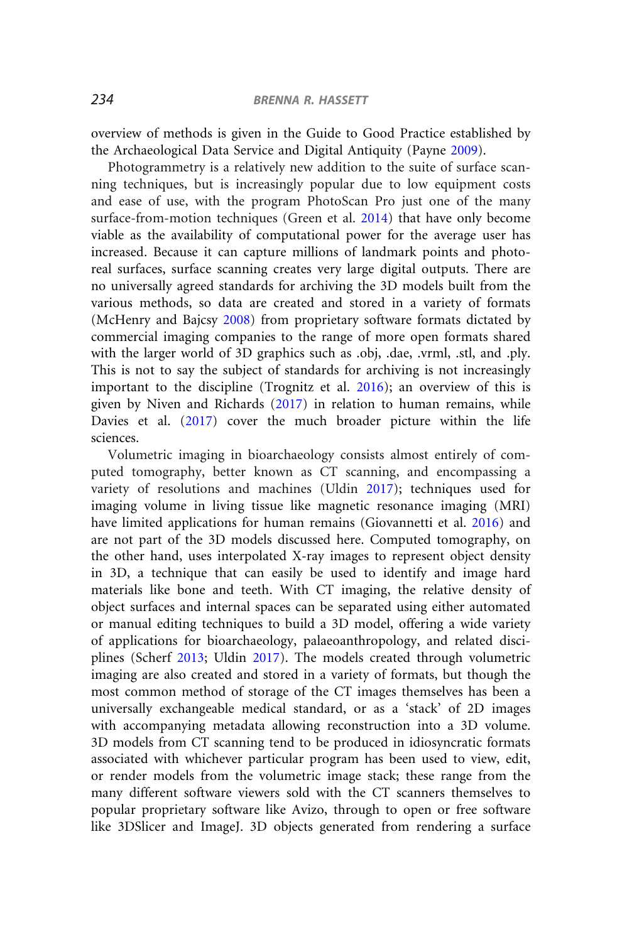overview of methods is given in the Guide to Good Practice established by the Archaeological Data Service and Digital Antiquity (Payne [2009\)](#page-17-0).

Photogrammetry is a relatively new addition to the suite of surface scanning techniques, but is increasingly popular due to low equipment costs and ease of use, with the program PhotoScan Pro just one of the many surface-from-motion techniques (Green et al. [2014](#page-16-0)) that have only become viable as the availability of computational power for the average user has increased. Because it can capture millions of landmark points and photoreal surfaces, surface scanning creates very large digital outputs. There are no universally agreed standards for archiving the 3D models built from the various methods, so data are created and stored in a variety of formats (McHenry and Bajcsy [2008\)](#page-17-0) from proprietary software formats dictated by commercial imaging companies to the range of more open formats shared with the larger world of 3D graphics such as .obj, .dae, .vrml, .stl, and .ply. This is not to say the subject of standards for archiving is not increasingly important to the discipline (Trognitz et al. [2016](#page-18-0)); an overview of this is given by Niven and Richards ([2017\)](#page-17-0) in relation to human remains, while Davies et al. [\(2017](#page-16-0)) cover the much broader picture within the life sciences.

Volumetric imaging in bioarchaeology consists almost entirely of computed tomography, better known as CT scanning, and encompassing a variety of resolutions and machines (Uldin [2017](#page-18-0)); techniques used for imaging volume in living tissue like magnetic resonance imaging (MRI) have limited applications for human remains (Giovannetti et al. [2016\)](#page-16-0) and are not part of the 3D models discussed here. Computed tomography, on the other hand, uses interpolated X-ray images to represent object density in 3D, a technique that can easily be used to identify and image hard materials like bone and teeth. With CT imaging, the relative density of object surfaces and internal spaces can be separated using either automated or manual editing techniques to build a 3D model, offering a wide variety of applications for bioarchaeology, palaeoanthropology, and related disciplines (Scherf [2013](#page-17-0); Uldin [2017\)](#page-18-0). The models created through volumetric imaging are also created and stored in a variety of formats, but though the most common method of storage of the CT images themselves has been a universally exchangeable medical standard, or as a 'stack' of 2D images with accompanying metadata allowing reconstruction into a 3D volume. 3D models from CT scanning tend to be produced in idiosyncratic formats associated with whichever particular program has been used to view, edit, or render models from the volumetric image stack; these range from the many different software viewers sold with the CT scanners themselves to popular proprietary software like Avizo, through to open or free software like 3DSlicer and ImageJ. 3D objects generated from rendering a surface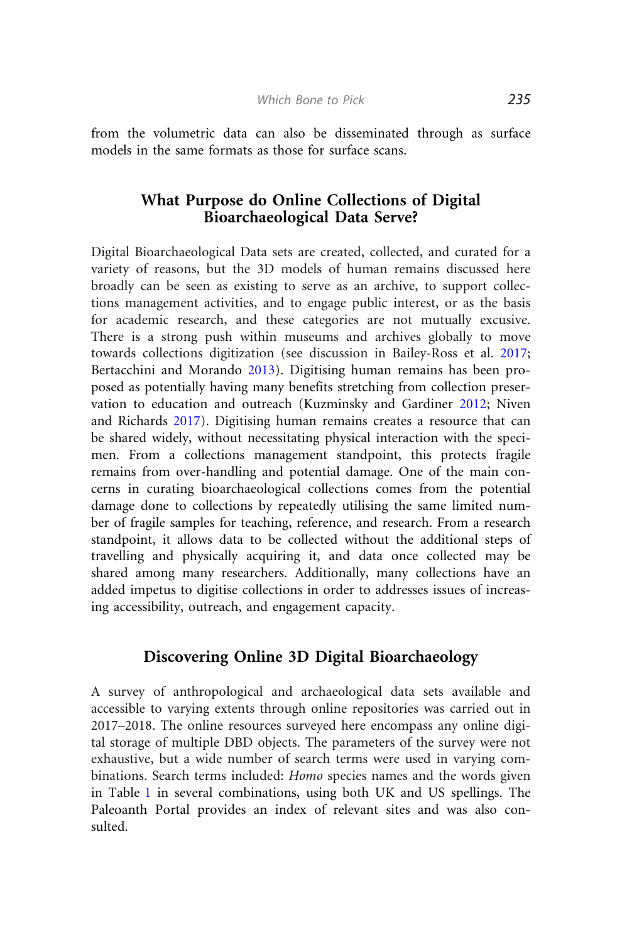from the volumetric data can also be disseminated through as surface models in the same formats as those for surface scans.

## What Purpose do Online Collections of Digital Bioarchaeological Data Serve?

Digital Bioarchaeological Data sets are created, collected, and curated for a variety of reasons, but the 3D models of human remains discussed here broadly can be seen as existing to serve as an archive, to support collections management activities, and to engage public interest, or as the basis for academic research, and these categories are not mutually excusive. There is a strong push within museums and archives globally to move towards collections digitization (see discussion in Bailey-Ross et al. [2017;](#page-15-0) Bertacchini and Morando [2013](#page-15-0)). Digitising human remains has been proposed as potentially having many benefits stretching from collection preservation to education and outreach (Kuzminsky and Gardiner [2012;](#page-16-0) Niven and Richards [2017\)](#page-17-0). Digitising human remains creates a resource that can be shared widely, without necessitating physical interaction with the specimen. From a collections management standpoint, this protects fragile remains from over-handling and potential damage. One of the main concerns in curating bioarchaeological collections comes from the potential damage done to collections by repeatedly utilising the same limited number of fragile samples for teaching, reference, and research. From a research standpoint, it allows data to be collected without the additional steps of travelling and physically acquiring it, and data once collected may be shared among many researchers. Additionally, many collections have an added impetus to digitise collections in order to addresses issues of increasing accessibility, outreach, and engagement capacity.

## Discovering Online 3D Digital Bioarchaeology

A survey of anthropological and archaeological data sets available and accessible to varying extents through online repositories was carried out in 2017–2018. The online resources surveyed here encompass any online digital storage of multiple DBD objects. The parameters of the survey were not exhaustive, but a wide number of search terms were used in varying combinations. Search terms included: Homo species names and the words given in Table [1](#page-5-0) in several combinations, using both UK and US spellings. The Paleoanth Portal provides an index of relevant sites and was also consulted.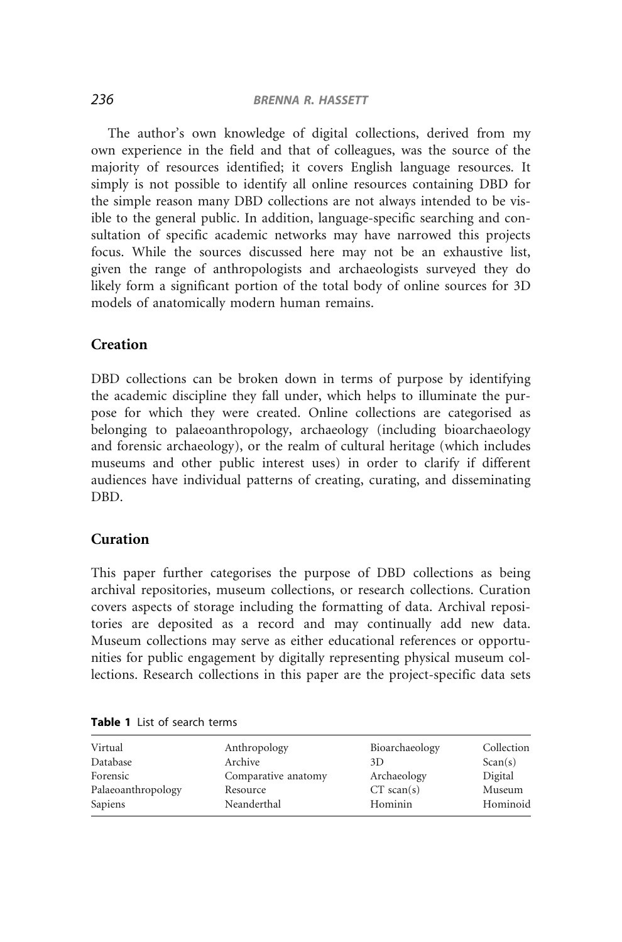<span id="page-5-0"></span>The author's own knowledge of digital collections, derived from my own experience in the field and that of colleagues, was the source of the majority of resources identified; it covers English language resources. It simply is not possible to identify all online resources containing DBD for the simple reason many DBD collections are not always intended to be visible to the general public. In addition, language-specific searching and consultation of specific academic networks may have narrowed this projects focus. While the sources discussed here may not be an exhaustive list, given the range of anthropologists and archaeologists surveyed they do likely form a significant portion of the total body of online sources for 3D models of anatomically modern human remains.

## **Creation**

DBD collections can be broken down in terms of purpose by identifying the academic discipline they fall under, which helps to illuminate the purpose for which they were created. Online collections are categorised as belonging to palaeoanthropology, archaeology (including bioarchaeology and forensic archaeology), or the realm of cultural heritage (which includes museums and other public interest uses) in order to clarify if different audiences have individual patterns of creating, curating, and disseminating DBD.

#### Curation

This paper further categorises the purpose of DBD collections as being archival repositories, museum collections, or research collections. Curation covers aspects of storage including the formatting of data. Archival repositories are deposited as a record and may continually add new data. Museum collections may serve as either educational references or opportunities for public engagement by digitally representing physical museum collections. Research collections in this paper are the project-specific data sets

| Virtual            | Anthropology        | Bioarchaeology | Collection |
|--------------------|---------------------|----------------|------------|
| Database           | Archive             | 3D             | Scan(s)    |
| Forensic           | Comparative anatomy | Archaeology    | Digital    |
| Palaeoanthropology | Resource            | $CT$ scan(s)   | Museum     |
| Sapiens            | Neanderthal         | Hominin        | Hominoid   |

| Table 1 List of search terms |  |  |  |
|------------------------------|--|--|--|
|------------------------------|--|--|--|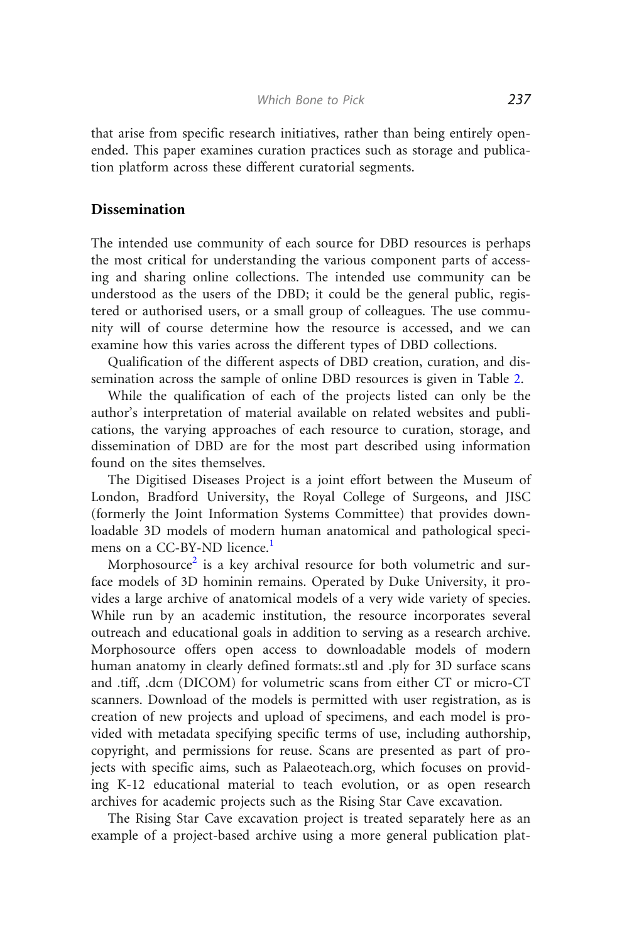that arise from specific research initiatives, rather than being entirely openended. This paper examines curation practices such as storage and publication platform across these different curatorial segments.

#### Dissemination

The intended use community of each source for DBD resources is perhaps the most critical for understanding the various component parts of accessing and sharing online collections. The intended use community can be understood as the users of the DBD; it could be the general public, registered or authorised users, or a small group of colleagues. The use community will of course determine how the resource is accessed, and we can examine how this varies across the different types of DBD collections.

Qualification of the different aspects of DBD creation, curation, and dissemination across the sample of online DBD resources is given in Table [2.](#page-7-0)

While the qualification of each of the projects listed can only be the author's interpretation of material available on related websites and publications, the varying approaches of each resource to curation, storage, and dissemination of DBD are for the most part described using information found on the sites themselves.

The Digitised Diseases Project is a joint effort between the Museum of London, Bradford University, the Royal College of Surgeons, and JISC (formerly the Joint Information Systems Committee) that provides downloadable 3D models of modern human anatomical and pathological speci-mens on a CC-BY-ND licence.<sup>[1](#page-14-0)</sup>

Morphosource<sup>[2](#page-14-0)</sup> is a key archival resource for both volumetric and surface models of 3D hominin remains. Operated by Duke University, it provides a large archive of anatomical models of a very wide variety of species. While run by an academic institution, the resource incorporates several outreach and educational goals in addition to serving as a research archive. Morphosource offers open access to downloadable models of modern human anatomy in clearly defined formats:.stl and .ply for 3D surface scans and .tiff, .dcm (DICOM) for volumetric scans from either CT or micro-CT scanners. Download of the models is permitted with user registration, as is creation of new projects and upload of specimens, and each model is provided with metadata specifying specific terms of use, including authorship, copyright, and permissions for reuse. Scans are presented as part of projects with specific aims, such as Palaeoteach.org, which focuses on providing K-12 educational material to teach evolution, or as open research archives for academic projects such as the Rising Star Cave excavation.

The Rising Star Cave excavation project is treated separately here as an example of a project-based archive using a more general publication plat-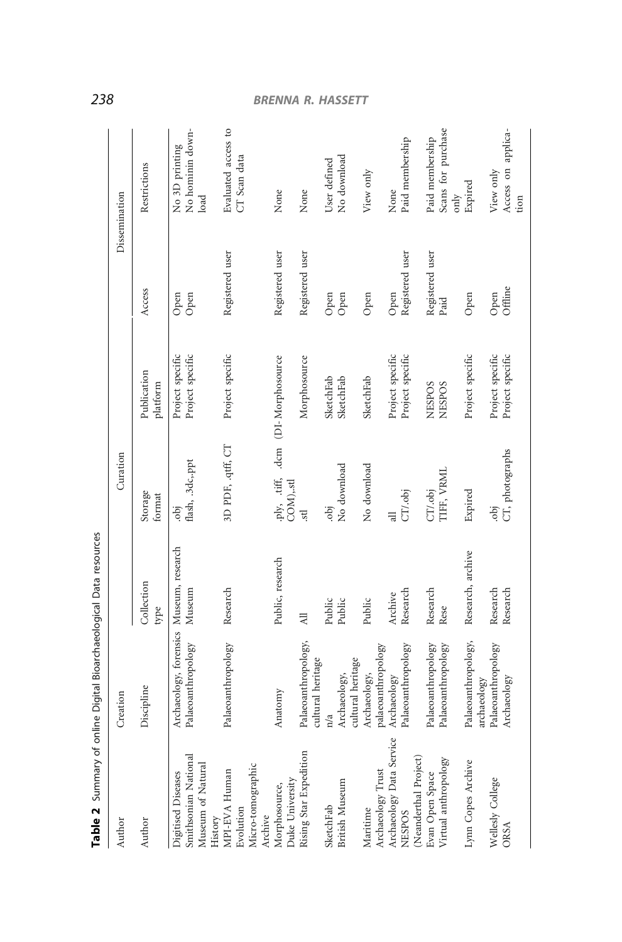|                                                                            | $\overline{ }$                                                |                      |                                                 |                                      |                         |                                               |
|----------------------------------------------------------------------------|---------------------------------------------------------------|----------------------|-------------------------------------------------|--------------------------------------|-------------------------|-----------------------------------------------|
| Author                                                                     | Creation                                                      |                      | Curation                                        |                                      | Dissemination           |                                               |
| Author                                                                     | Discipline                                                    | Collection<br>type   | Storage<br>format                               | Publication<br>platform              | Access                  | Restrictions                                  |
| Smithsonian National<br>Museum of Natural<br>Digitised Diseases<br>History | Archaeology, forensics Museum, research<br>Palaeoanthropology | Museum               | flash, .3dc,.ppt<br>.obj                        | Project specific<br>Project specific | Open<br>Open            | No hominin down-<br>No 3D printing<br>load    |
| Micro-tomographic<br>MPI-EVA Human<br>Evolution<br>Archive                 | Palaeoanthropology                                            | Research             | 3D PDF, .qtff, CT                               | Project specific                     | Registered user         | Evaluated access to<br>CT Scan data           |
| Duke University<br>Morphosource,                                           | Anatomy                                                       | Public, research     | .ply, .tiff, .dcm (DI-Morphosource<br>COM),.stl |                                      | Registered user         | None                                          |
| Rising Star Expedition                                                     | Palaeoanthropology,<br>cultural heritage                      | $\overline{z}$       | stl                                             | Morphosource                         | Registered user         | None                                          |
| <b>British Museum</b><br>SketchFab                                         | cultural heritage<br>Archaeology,                             | Public<br>Public     | No download<br>epi                              | SketchFab<br>SketchFab               | Open<br>Open            | No download<br>User defined                   |
| Archaeology Trust<br>Maritime                                              | palaeoanthropology<br>Archaeology,                            | Public               | No download                                     | SketchFab                            | Open                    | View only                                     |
| Archaeology Data Service<br>(Neanderthal Project)<br><b>NESPOS</b>         | Palaeoanthropology<br>Archaeology                             | Research<br>Archive  | CT/.obj<br>$\exists$                            | Project specific<br>Project specific | Registered user<br>Open | Paid membership<br>None                       |
| Virtual anthropology<br>Evan Open Space                                    | Palaeoanthropology<br>Palaeoanthropology                      | Research<br>Rese     | TIFF, VRML<br>CT/.obj                           | <b>NESPOS</b><br><b>NESPOS</b>       | Registered user<br>Paid | Scans for purchase<br>Paid membership<br>only |
| Lynn Copes Archive                                                         | Palaeoanthropology,<br>archaeology                            | Research, archive    | Expired                                         | Project specific                     | Open                    | Expired                                       |
| Wellesly College<br>ORSA                                                   | Palaeoanthropology<br>Archaeology                             | Research<br>Research | CT, photographs<br>epi                          | Project specific<br>Project specific | Offline<br>Open         | Access on applica-<br>View only<br>tion       |

Table 2 Summary of online Digital Bioarchaeological Data resources Table 2 Summary of online Digital Bioarchaeological Data resources

# <span id="page-7-0"></span>238 BRENNA R. HASSETT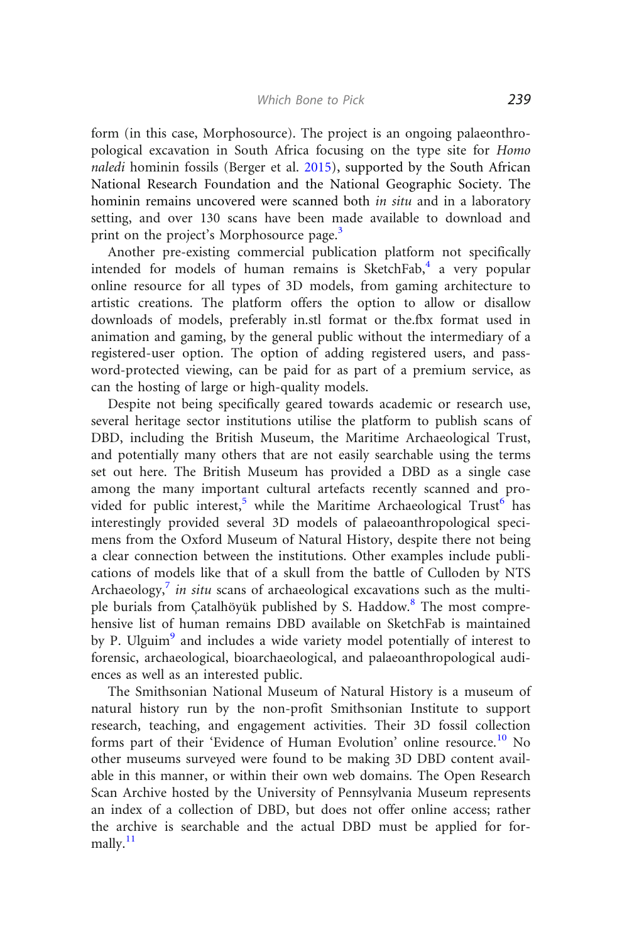form (in this case, Morphosource). The project is an ongoing palaeonthropological excavation in South Africa focusing on the type site for Homo naledi hominin fossils (Berger et al. [2015](#page-15-0)), supported by the South African National Research Foundation and the National Geographic Society. The hominin remains uncovered were scanned both *in situ* and in a laboratory setting, and over 130 scans have been made available to download and print on the project's Morphosource page.<sup>[3](#page-14-0)</sup>

Another pre-existing commercial publication platform not specifically intended for models of human remains is SketchFab, $4$  a very popular online resource for all types of 3D models, from gaming architecture to artistic creations. The platform offers the option to allow or disallow downloads of models, preferably in.stl format or the.fbx format used in animation and gaming, by the general public without the intermediary of a registered-user option. The option of adding registered users, and password-protected viewing, can be paid for as part of a premium service, as can the hosting of large or high-quality models.

Despite not being specifically geared towards academic or research use, several heritage sector institutions utilise the platform to publish scans of DBD, including the British Museum, the Maritime Archaeological Trust, and potentially many others that are not easily searchable using the terms set out here. The British Museum has provided a DBD as a single case among the many important cultural artefacts recently scanned and pro-vided for public interest,<sup>[5](#page-14-0)</sup> while the Maritime Archaeological Trust<sup>[6](#page-14-0)</sup> has interestingly provided several 3D models of palaeoanthropological specimens from the Oxford Museum of Natural History, despite there not being a clear connection between the institutions. Other examples include publications of models like that of a skull from the battle of Culloden by NTS Archaeology,<sup>[7](#page-14-0)</sup> in situ scans of archaeological excavations such as the multi-ple burials from Catalhöyük published by S. Haddow.<sup>[8](#page-14-0)</sup> The most comprehensive list of human remains DBD available on SketchFab is maintained by P. Ulguim<sup>[9](#page-14-0)</sup> and includes a wide variety model potentially of interest to forensic, archaeological, bioarchaeological, and palaeoanthropological audiences as well as an interested public.

The Smithsonian National Museum of Natural History is a museum of natural history run by the non-profit Smithsonian Institute to support research, teaching, and engagement activities. Their 3D fossil collection forms part of their 'Evidence of Human Evolution' online resource.<sup>[10](#page-14-0)</sup> No other museums surveyed were found to be making 3D DBD content available in this manner, or within their own web domains. The Open Research Scan Archive hosted by the University of Pennsylvania Museum represents an index of a collection of DBD, but does not offer online access; rather the archive is searchable and the actual DBD must be applied for formally. $^{11}$  $^{11}$  $^{11}$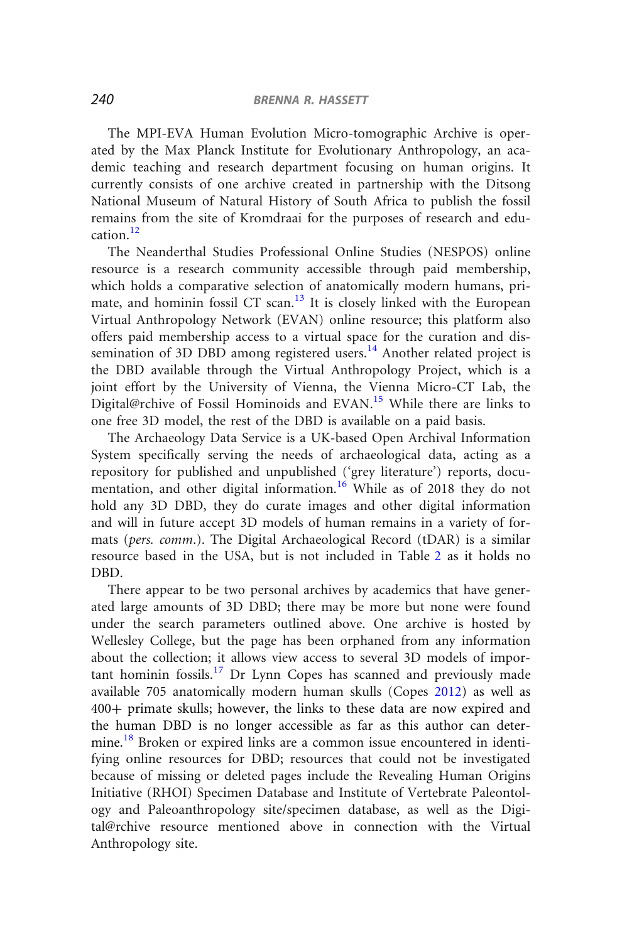The MPI-EVA Human Evolution Micro-tomographic Archive is operated by the Max Planck Institute for Evolutionary Anthropology, an academic teaching and research department focusing on human origins. It currently consists of one archive created in partnership with the Ditsong National Museum of Natural History of South Africa to publish the fossil remains from the site of Kromdraai for the purposes of research and edu $cation$ <sup>[12](#page-14-0)</sup>

The Neanderthal Studies Professional Online Studies (NESPOS) online resource is a research community accessible through paid membership, which holds a comparative selection of anatomically modern humans, primate, and hominin fossil CT scan. $13$  It is closely linked with the European Virtual Anthropology Network (EVAN) online resource; this platform also offers paid membership access to a virtual space for the curation and dis-semination of 3D DBD among registered users.<sup>[14](#page-14-0)</sup> Another related project is the DBD available through the Virtual Anthropology Project, which is a joint effort by the University of Vienna, the Vienna Micro-CT Lab, the Digital@rchive of Fossil Hominoids and EVAN.<sup>[15](#page-14-0)</sup> While there are links to one free 3D model, the rest of the DBD is available on a paid basis.

The Archaeology Data Service is a UK-based Open Archival Information System specifically serving the needs of archaeological data, acting as a repository for published and unpublished ('grey literature') reports, docu-mentation, and other digital information.<sup>[16](#page-14-0)</sup> While as of 2018 they do not hold any 3D DBD, they do curate images and other digital information and will in future accept 3D models of human remains in a variety of formats (pers. comm.). The Digital Archaeological Record (tDAR) is a similar resource based in the USA, but is not included in Table [2](#page-7-0) as it holds no DBD.

There appear to be two personal archives by academics that have generated large amounts of 3D DBD; there may be more but none were found under the search parameters outlined above. One archive is hosted by Wellesley College, but the page has been orphaned from any information about the collection; it allows view access to several 3D models of impor-tant hominin fossils.<sup>[17](#page-14-0)</sup> Dr Lynn Copes has scanned and previously made available 705 anatomically modern human skulls (Copes [2012](#page-16-0)) as well as 400+ primate skulls; however, the links to these data are now expired and the human DBD is no longer accessible as far as this author can deter-mine.<sup>[18](#page-14-0)</sup> Broken or expired links are a common issue encountered in identifying online resources for DBD; resources that could not be investigated because of missing or deleted pages include the Revealing Human Origins Initiative (RHOI) Specimen Database and Institute of Vertebrate Paleontology and Paleoanthropology site/specimen database, as well as the Digital@rchive resource mentioned above in connection with the Virtual Anthropology site.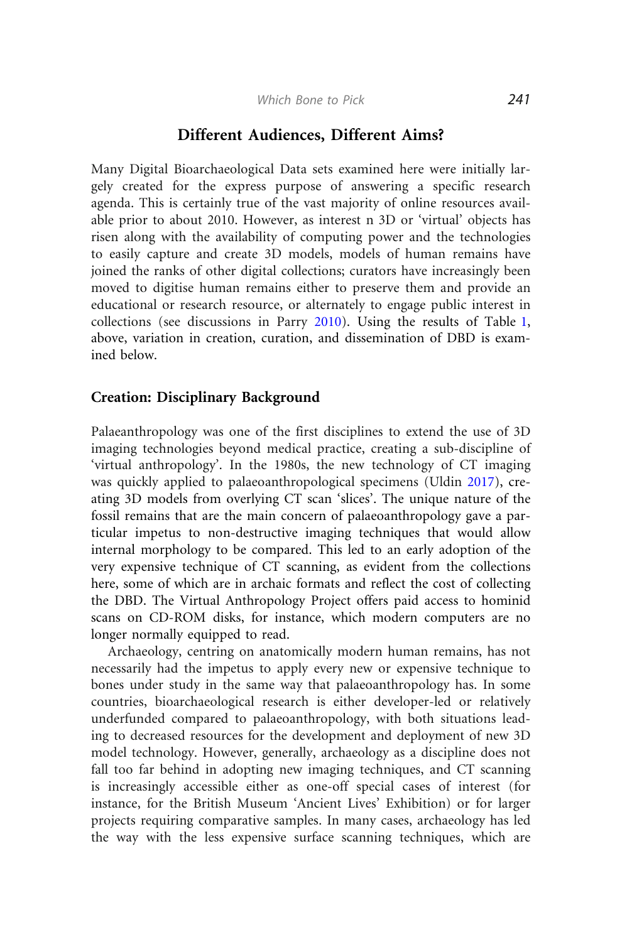#### Different Audiences, Different Aims?

Many Digital Bioarchaeological Data sets examined here were initially largely created for the express purpose of answering a specific research agenda. This is certainly true of the vast majority of online resources available prior to about 2010. However, as interest n 3D or 'virtual' objects has risen along with the availability of computing power and the technologies to easily capture and create 3D models, models of human remains have joined the ranks of other digital collections; curators have increasingly been moved to digitise human remains either to preserve them and provide an educational or research resource, or alternately to engage public interest in collections (see discussions in Parry [2010](#page-17-0)). Using the results of Table [1,](#page-5-0) above, variation in creation, curation, and dissemination of DBD is examined below.

## Creation: Disciplinary Background

Palaeanthropology was one of the first disciplines to extend the use of 3D imaging technologies beyond medical practice, creating a sub-discipline of 'virtual anthropology'. In the 1980s, the new technology of CT imaging was quickly applied to palaeoanthropological specimens (Uldin [2017\)](#page-18-0), creating 3D models from overlying CT scan 'slices'. The unique nature of the fossil remains that are the main concern of palaeoanthropology gave a particular impetus to non-destructive imaging techniques that would allow internal morphology to be compared. This led to an early adoption of the very expensive technique of CT scanning, as evident from the collections here, some of which are in archaic formats and reflect the cost of collecting the DBD. The Virtual Anthropology Project offers paid access to hominid scans on CD-ROM disks, for instance, which modern computers are no longer normally equipped to read.

Archaeology, centring on anatomically modern human remains, has not necessarily had the impetus to apply every new or expensive technique to bones under study in the same way that palaeoanthropology has. In some countries, bioarchaeological research is either developer-led or relatively underfunded compared to palaeoanthropology, with both situations leading to decreased resources for the development and deployment of new 3D model technology. However, generally, archaeology as a discipline does not fall too far behind in adopting new imaging techniques, and CT scanning is increasingly accessible either as one-off special cases of interest (for instance, for the British Museum 'Ancient Lives' Exhibition) or for larger projects requiring comparative samples. In many cases, archaeology has led the way with the less expensive surface scanning techniques, which are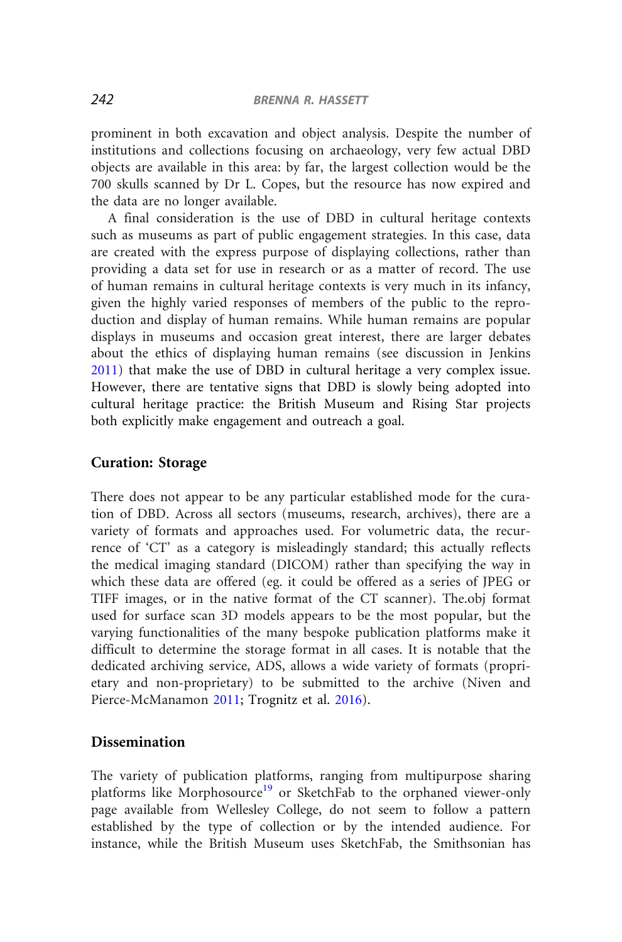prominent in both excavation and object analysis. Despite the number of institutions and collections focusing on archaeology, very few actual DBD objects are available in this area: by far, the largest collection would be the 700 skulls scanned by Dr L. Copes, but the resource has now expired and the data are no longer available.

A final consideration is the use of DBD in cultural heritage contexts such as museums as part of public engagement strategies. In this case, data are created with the express purpose of displaying collections, rather than providing a data set for use in research or as a matter of record. The use of human remains in cultural heritage contexts is very much in its infancy, given the highly varied responses of members of the public to the reproduction and display of human remains. While human remains are popular displays in museums and occasion great interest, there are larger debates about the ethics of displaying human remains (see discussion in Jenkins [2011](#page-16-0)) that make the use of DBD in cultural heritage a very complex issue. However, there are tentative signs that DBD is slowly being adopted into cultural heritage practice: the British Museum and Rising Star projects both explicitly make engagement and outreach a goal.

#### Curation: Storage

There does not appear to be any particular established mode for the curation of DBD. Across all sectors (museums, research, archives), there are a variety of formats and approaches used. For volumetric data, the recurrence of 'CT' as a category is misleadingly standard; this actually reflects the medical imaging standard (DICOM) rather than specifying the way in which these data are offered (eg. it could be offered as a series of JPEG or TIFF images, or in the native format of the CT scanner). The.obj format used for surface scan 3D models appears to be the most popular, but the varying functionalities of the many bespoke publication platforms make it difficult to determine the storage format in all cases. It is notable that the dedicated archiving service, ADS, allows a wide variety of formats (proprietary and non-proprietary) to be submitted to the archive (Niven and Pierce-McManamon [2011;](#page-17-0) Trognitz et al. [2016\)](#page-18-0).

## Dissemination

The variety of publication platforms, ranging from multipurpose sharing platforms like Morphosource<sup>[19](#page-14-0)</sup> or SketchFab to the orphaned viewer-only page available from Wellesley College, do not seem to follow a pattern established by the type of collection or by the intended audience. For instance, while the British Museum uses SketchFab, the Smithsonian has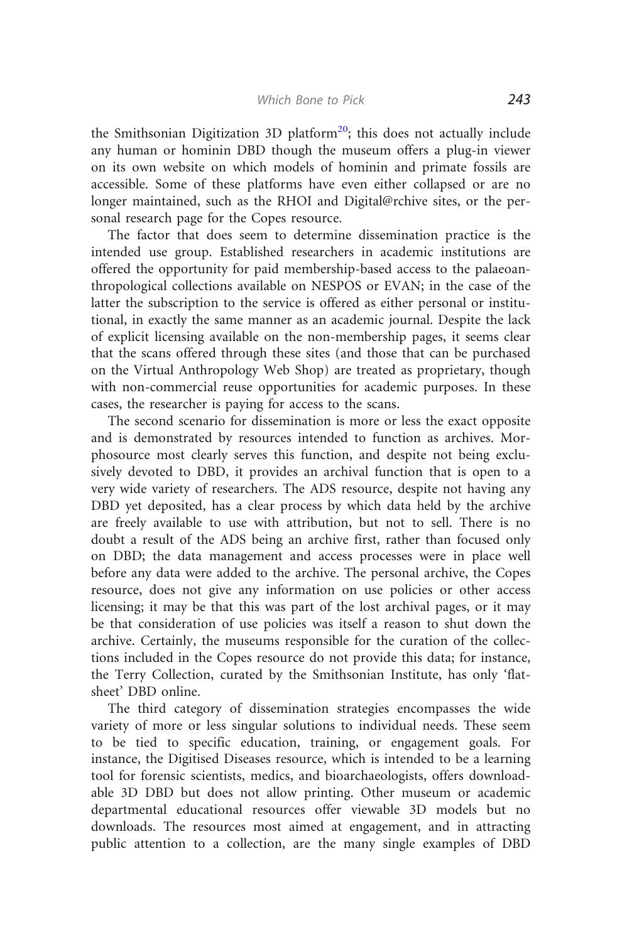the Smithsonian Digitization 3D platform<sup>20</sup>; this does not actually include any human or hominin DBD though the museum offers a plug-in viewer on its own website on which models of hominin and primate fossils are accessible. Some of these platforms have even either collapsed or are no longer maintained, such as the RHOI and Digital@rchive sites, or the personal research page for the Copes resource.

The factor that does seem to determine dissemination practice is the intended use group. Established researchers in academic institutions are offered the opportunity for paid membership-based access to the palaeoanthropological collections available on NESPOS or EVAN; in the case of the latter the subscription to the service is offered as either personal or institutional, in exactly the same manner as an academic journal. Despite the lack of explicit licensing available on the non-membership pages, it seems clear that the scans offered through these sites (and those that can be purchased on the Virtual Anthropology Web Shop) are treated as proprietary, though with non-commercial reuse opportunities for academic purposes. In these cases, the researcher is paying for access to the scans.

The second scenario for dissemination is more or less the exact opposite and is demonstrated by resources intended to function as archives. Morphosource most clearly serves this function, and despite not being exclusively devoted to DBD, it provides an archival function that is open to a very wide variety of researchers. The ADS resource, despite not having any DBD yet deposited, has a clear process by which data held by the archive are freely available to use with attribution, but not to sell. There is no doubt a result of the ADS being an archive first, rather than focused only on DBD; the data management and access processes were in place well before any data were added to the archive. The personal archive, the Copes resource, does not give any information on use policies or other access licensing; it may be that this was part of the lost archival pages, or it may be that consideration of use policies was itself a reason to shut down the archive. Certainly, the museums responsible for the curation of the collections included in the Copes resource do not provide this data; for instance, the Terry Collection, curated by the Smithsonian Institute, has only 'flatsheet' DBD online.

The third category of dissemination strategies encompasses the wide variety of more or less singular solutions to individual needs. These seem to be tied to specific education, training, or engagement goals. For instance, the Digitised Diseases resource, which is intended to be a learning tool for forensic scientists, medics, and bioarchaeologists, offers downloadable 3D DBD but does not allow printing. Other museum or academic departmental educational resources offer viewable 3D models but no downloads. The resources most aimed at engagement, and in attracting public attention to a collection, are the many single examples of DBD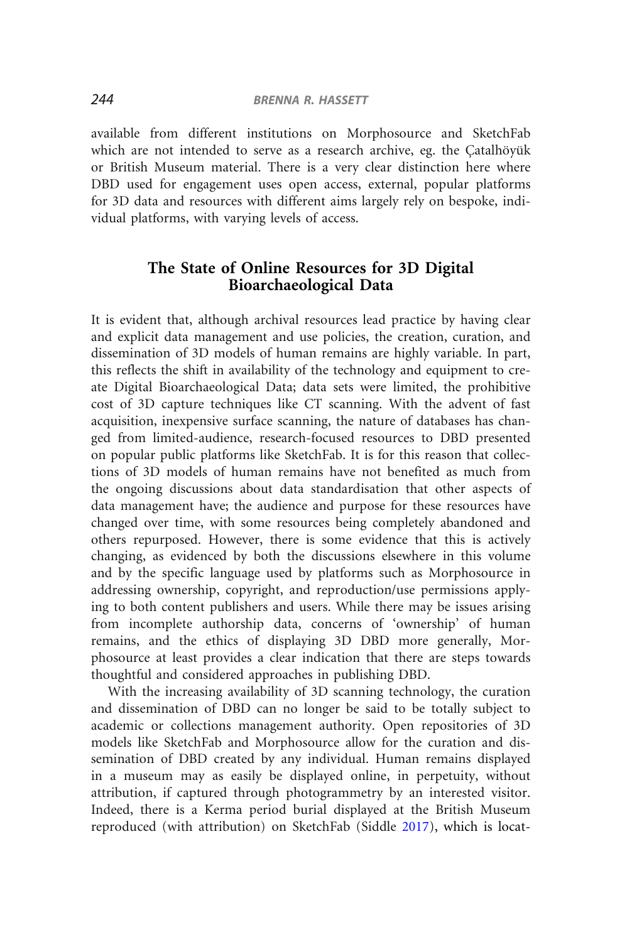available from different institutions on Morphosource and SketchFab which are not intended to serve as a research archive, eg. the Catalhövük or British Museum material. There is a very clear distinction here where DBD used for engagement uses open access, external, popular platforms for 3D data and resources with different aims largely rely on bespoke, individual platforms, with varying levels of access.

## The State of Online Resources for 3D Digital Bioarchaeological Data

It is evident that, although archival resources lead practice by having clear and explicit data management and use policies, the creation, curation, and dissemination of 3D models of human remains are highly variable. In part, this reflects the shift in availability of the technology and equipment to create Digital Bioarchaeological Data; data sets were limited, the prohibitive cost of 3D capture techniques like CT scanning. With the advent of fast acquisition, inexpensive surface scanning, the nature of databases has changed from limited-audience, research-focused resources to DBD presented on popular public platforms like SketchFab. It is for this reason that collections of 3D models of human remains have not benefited as much from the ongoing discussions about data standardisation that other aspects of data management have; the audience and purpose for these resources have changed over time, with some resources being completely abandoned and others repurposed. However, there is some evidence that this is actively changing, as evidenced by both the discussions elsewhere in this volume and by the specific language used by platforms such as Morphosource in addressing ownership, copyright, and reproduction/use permissions applying to both content publishers and users. While there may be issues arising from incomplete authorship data, concerns of 'ownership' of human remains, and the ethics of displaying 3D DBD more generally, Morphosource at least provides a clear indication that there are steps towards thoughtful and considered approaches in publishing DBD.

With the increasing availability of 3D scanning technology, the curation and dissemination of DBD can no longer be said to be totally subject to academic or collections management authority. Open repositories of 3D models like SketchFab and Morphosource allow for the curation and dissemination of DBD created by any individual. Human remains displayed in a museum may as easily be displayed online, in perpetuity, without attribution, if captured through photogrammetry by an interested visitor. Indeed, there is a Kerma period burial displayed at the British Museum reproduced (with attribution) on SketchFab (Siddle [2017](#page-18-0)), which is locat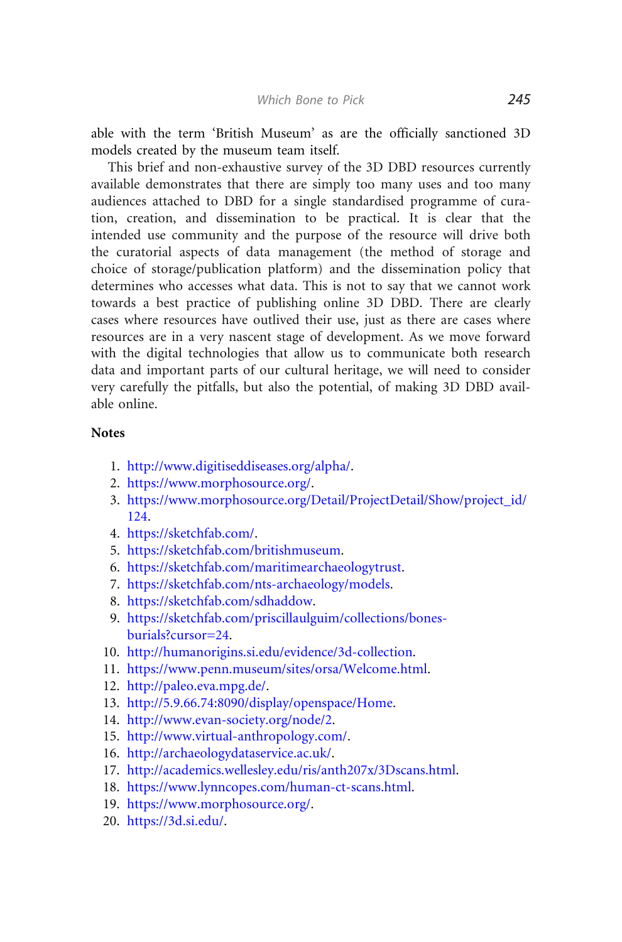<span id="page-14-0"></span>able with the term 'British Museum' as are the officially sanctioned 3D models created by the museum team itself.

This brief and non-exhaustive survey of the 3D DBD resources currently available demonstrates that there are simply too many uses and too many audiences attached to DBD for a single standardised programme of curation, creation, and dissemination to be practical. It is clear that the intended use community and the purpose of the resource will drive both the curatorial aspects of data management (the method of storage and choice of storage/publication platform) and the dissemination policy that determines who accesses what data. This is not to say that we cannot work towards a best practice of publishing online 3D DBD. There are clearly cases where resources have outlived their use, just as there are cases where resources are in a very nascent stage of development. As we move forward with the digital technologies that allow us to communicate both research data and important parts of our cultural heritage, we will need to consider very carefully the pitfalls, but also the potential, of making 3D DBD available online.

#### **Notes**

- 1. [http://www.digitiseddiseases.org/alpha/.](http://www.digitiseddiseases.org/alpha/)
- 2. [https://www.morphosource.org/.](https://www.morphosource.org/)
- 3. [https://www.morphosource.org/Detail/ProjectDetail/Show/project\\_id/](https://www.morphosource.org/Detail/ProjectDetail/Show/project_id/124) [124](https://www.morphosource.org/Detail/ProjectDetail/Show/project_id/124).
- 4. [https://sketchfab.com/.](https://sketchfab.com/)
- 5. [https://sketchfab.com/britishmuseum.](https://sketchfab.com/britishmuseum)
- 6. [https://sketchfab.com/maritimearchaeologytrust.](https://sketchfab.com/maritimearchaeologytrust)
- 7. [https://sketchfab.com/nts-archaeology/models.](https://sketchfab.com/nts-archaeology/models)
- 8. [https://sketchfab.com/sdhaddow.](https://sketchfab.com/sdhaddow)
- 9. [https://sketchfab.com/priscillaulguim/collections/bones](https://sketchfab.com/priscillaulguim/collections/bones-burials%3fcursor%3d24)[burials?cursor=24.](https://sketchfab.com/priscillaulguim/collections/bones-burials%3fcursor%3d24)
- 10. [http://humanorigins.si.edu/evidence/3d-collection.](http://humanorigins.si.edu/evidence/3d-collection)
- 11. <https://www.penn.museum/sites/orsa/Welcome.html>.
- 12. [http://paleo.eva.mpg.de/.](http://paleo.eva.mpg.de/)
- 13. [http://5.9.66.74:8090/display/openspace/Home.](http://5.9.66.74:8090/display/openspace/Home)
- 14. [http://www.evan-society.org/node/2.](http://www.evan-society.org/node/2)
- 15. <http://www.virtual-anthropology.com/>.
- 16. <http://archaeologydataservice.ac.uk/>.
- 17. <http://academics.wellesley.edu/ris/anth207x/3Dscans.html>.
- 18. [https://www.lynncopes.com/human-ct-scans.html.](https://www.lynncopes.com/human-ct-scans.html)
- 19. [https://www.morphosource.org/.](https://www.morphosource.org/)
- 20. <https://3d.si.edu/>.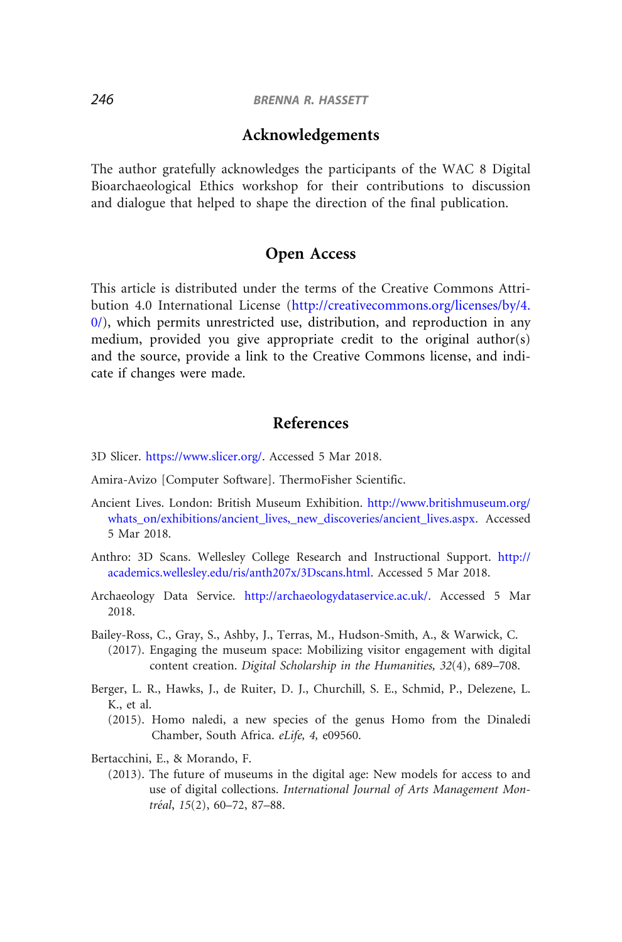## Acknowledgements

<span id="page-15-0"></span>The author gratefully acknowledges the participants of the WAC 8 Digital Bioarchaeological Ethics workshop for their contributions to discussion and dialogue that helped to shape the direction of the final publication.

## Open Access

This article is distributed under the terms of the Creative Commons Attribution 4.0 International License [\(http://creativecommons.org/licenses/by/4.](http://creativecommons.org/licenses/by/4.0/)  $0$ , which permits unrestricted use, distribution, and reproduction in any medium, provided you give appropriate credit to the original author(s) and the source, provide a link to the Creative Commons license, and indicate if changes were made.

## References

- 3D Slicer. <https://www.slicer.org/>. Accessed 5 Mar 2018.
- Amira-Avizo [Computer Software]. ThermoFisher Scientific.
- Ancient Lives. London: British Museum Exhibition. [http://www.britishmuseum.org/](http://www.britishmuseum.org/whats_on/exhibitions/ancient_lives,_new_discoveries/ancient_lives.aspx) [whats\\_on/exhibitions/ancient\\_lives,\\_new\\_discoveries/ancient\\_lives.aspx.](http://www.britishmuseum.org/whats_on/exhibitions/ancient_lives,_new_discoveries/ancient_lives.aspx) Accessed 5 Mar 2018.
- Anthro: 3D Scans. Wellesley College Research and Instructional Support. [http://](http://academics.wellesley.edu/ris/anth207x/3Dscans.html) [academics.wellesley.edu/ris/anth207x/3Dscans.html.](http://academics.wellesley.edu/ris/anth207x/3Dscans.html) Accessed 5 Mar 2018.
- Archaeology Data Service. [http://archaeologydataservice.ac.uk/.](http://archaeologydataservice.ac.uk/) Accessed 5 Mar 2018.
- Bailey-Ross, C., Gray, S., Ashby, J., Terras, M., Hudson-Smith, A., & Warwick, C.
	- (2017). Engaging the museum space: Mobilizing visitor engagement with digital content creation. Digital Scholarship in the Humanities, 32(4), 689–708.
- Berger, L. R., Hawks, J., de Ruiter, D. J., Churchill, S. E., Schmid, P., Delezene, L. K., et al.
	- (2015). Homo naledi, a new species of the genus Homo from the Dinaledi Chamber, South Africa. eLife, 4, e09560.

Bertacchini, E., & Morando, F.

(2013). The future of museums in the digital age: New models for access to and use of digital collections. International Journal of Arts Management Montréal, 15(2), 60-72, 87-88.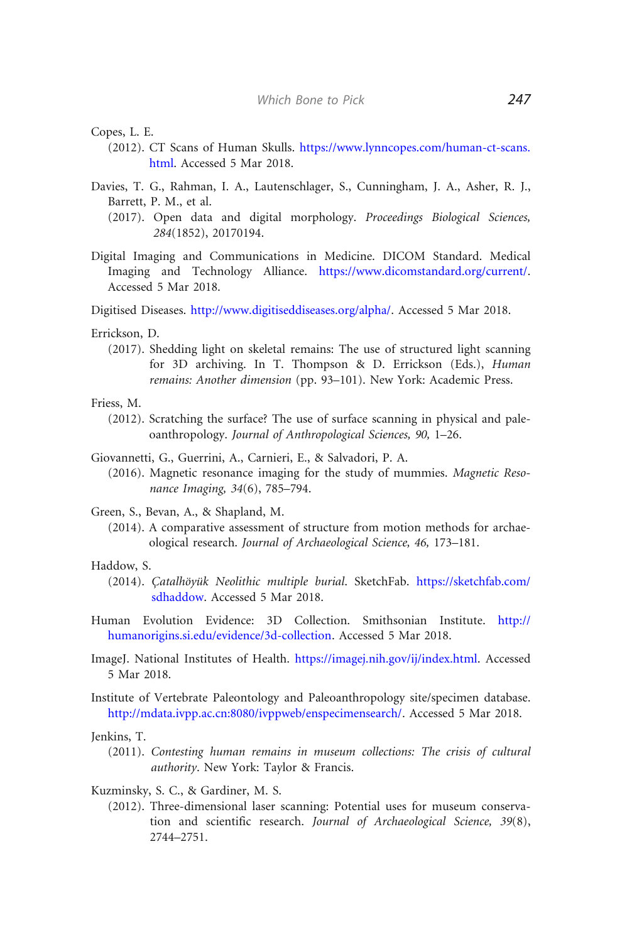<span id="page-16-0"></span>Copes, L. E.

- (2012). CT Scans of Human Skulls. [https://www.lynncopes.com/human-ct-scans.](https://www.lynncopes.com/human-ct-scans.html) [html.](https://www.lynncopes.com/human-ct-scans.html) Accessed 5 Mar 2018.
- Davies, T. G., Rahman, I. A., Lautenschlager, S., Cunningham, J. A., Asher, R. J., Barrett, P. M., et al.
	- (2017). Open data and digital morphology. Proceedings Biological Sciences, 284(1852), 20170194.
- Digital Imaging and Communications in Medicine. DICOM Standard. Medical Imaging and Technology Alliance. [https://www.dicomstandard.org/current/.](https://www.dicomstandard.org/current/) Accessed 5 Mar 2018.

Digitised Diseases. <http://www.digitiseddiseases.org/alpha/>. Accessed 5 Mar 2018.

- Errickson, D.
	- (2017). Shedding light on skeletal remains: The use of structured light scanning for 3D archiving. In T. Thompson & D. Errickson (Eds.), Human remains: Another dimension (pp. 93–101). New York: Academic Press.
- Friess, M.
	- (2012). Scratching the surface? The use of surface scanning in physical and paleoanthropology. Journal of Anthropological Sciences, 90, 1–26.
- Giovannetti, G., Guerrini, A., Carnieri, E., & Salvadori, P. A.
	- (2016). Magnetic resonance imaging for the study of mummies. Magnetic Resonance Imaging, 34(6), 785–794.
- Green, S., Bevan, A., & Shapland, M.
	- (2014). A comparative assessment of structure from motion methods for archaeological research. Journal of Archaeological Science, 46, 173–181.

#### Haddow, S.

- (2014). Catalhöyük Neolithic multiple burial. SketchFab. [https://sketchfab.com/](https://sketchfab.com/sdhaddow) [sdhaddow](https://sketchfab.com/sdhaddow). Accessed 5 Mar 2018.
- Human Evolution Evidence: 3D Collection. Smithsonian Institute. [http://](http://humanorigins.si.edu/evidence/3d-collection) [humanorigins.si.edu/evidence/3d-collection](http://humanorigins.si.edu/evidence/3d-collection). Accessed 5 Mar 2018.
- ImageJ. National Institutes of Health. <https://imagej.nih.gov/ij/index.html>. Accessed 5 Mar 2018.
- Institute of Vertebrate Paleontology and Paleoanthropology site/specimen database. <http://mdata.ivpp.ac.cn:8080/ivppweb/enspecimensearch/>. Accessed 5 Mar 2018.

Jenkins, T.

- (2011). Contesting human remains in museum collections: The crisis of cultural authority. New York: Taylor & Francis.
- Kuzminsky, S. C., & Gardiner, M. S.
	- (2012). Three-dimensional laser scanning: Potential uses for museum conservation and scientific research. Journal of Archaeological Science, 39(8), 2744–2751.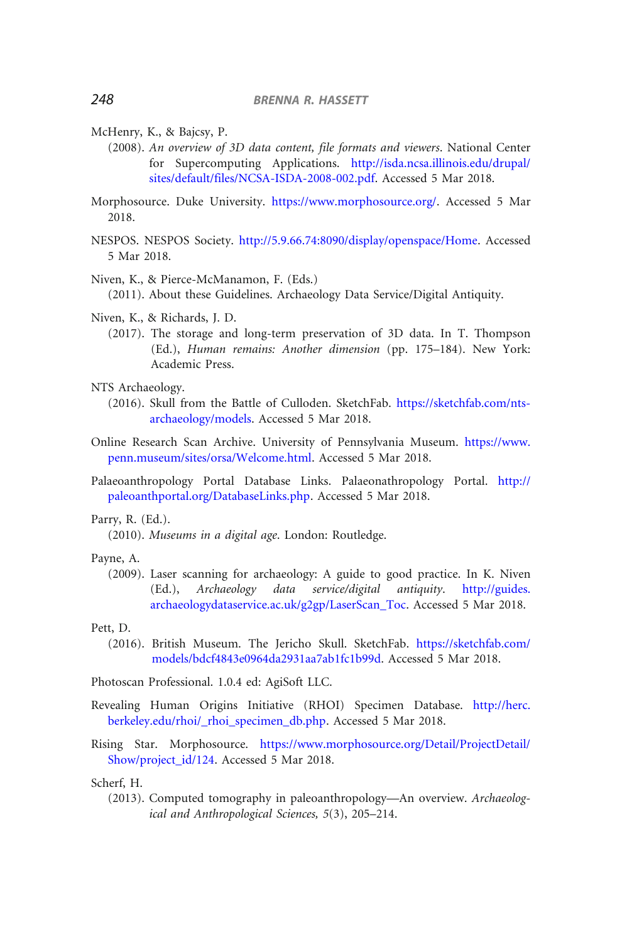- <span id="page-17-0"></span>McHenry, K., & Bajcsy, P.
	- (2008). An overview of 3D data content, file formats and viewers. National Center for Supercomputing Applications. [http://isda.ncsa.illinois.edu/drupal/](http://isda.ncsa.illinois.edu/drupal/sites/default/files/NCSA-ISDA-2008-002.pdf) [sites/default/files/NCSA-ISDA-2008-002.pdf.](http://isda.ncsa.illinois.edu/drupal/sites/default/files/NCSA-ISDA-2008-002.pdf) Accessed 5 Mar 2018.
- Morphosource. Duke University. [https://www.morphosource.org/.](https://www.morphosource.org/) Accessed 5 Mar 2018.
- NESPOS. NESPOS Society. [http://5.9.66.74:8090/display/openspace/Home.](http://5.9.66.74:8090/display/openspace/Home) Accessed 5 Mar 2018.
- Niven, K., & Pierce-McManamon, F. (Eds.)

(2011). About these Guidelines. Archaeology Data Service/Digital Antiquity.

- Niven, K., & Richards, J. D.
	- (2017). The storage and long-term preservation of 3D data. In T. Thompson (Ed.), Human remains: Another dimension (pp. 175–184). New York: Academic Press.

NTS Archaeology.

- (2016). Skull from the Battle of Culloden. SketchFab. [https://sketchfab.com/nts](https://sketchfab.com/nts-archaeology/models)[archaeology/models.](https://sketchfab.com/nts-archaeology/models) Accessed 5 Mar 2018.
- Online Research Scan Archive. University of Pennsylvania Museum. [https://www.](https://www.penn.museum/sites/orsa/Welcome.html) [penn.museum/sites/orsa/Welcome.html](https://www.penn.museum/sites/orsa/Welcome.html). Accessed 5 Mar 2018.
- Palaeoanthropology Portal Database Links. Palaeonathropology Portal. [http://](http://paleoanthportal.org/DatabaseLinks.php) [paleoanthportal.org/DatabaseLinks.php](http://paleoanthportal.org/DatabaseLinks.php). Accessed 5 Mar 2018.

Parry, R. (Ed.).

(2010). Museums in a digital age. London: Routledge.

- Payne, A.
	- (2009). Laser scanning for archaeology: A guide to good practice. In K. Niven (Ed.), Archaeology data service/digital antiquity. [http://guides.](http://guides.archaeologydataservice.ac.uk/g2gp/LaserScan_Toc) [archaeologydataservice.ac.uk/g2gp/LaserScan\\_Toc](http://guides.archaeologydataservice.ac.uk/g2gp/LaserScan_Toc). Accessed 5 Mar 2018.

Pett, D.

(2016). British Museum. The Jericho Skull. SketchFab. [https://sketchfab.com/](https://sketchfab.com/models/bdcf4843e0964da2931aa7ab1fc1b99d) [models/bdcf4843e0964da2931aa7ab1fc1b99d](https://sketchfab.com/models/bdcf4843e0964da2931aa7ab1fc1b99d). Accessed 5 Mar 2018.

Photoscan Professional. 1.0.4 ed: AgiSoft LLC.

- Revealing Human Origins Initiative (RHOI) Specimen Database. [http://herc.](http://herc.berkeley.edu/rhoi/_rhoi_specimen_db.php) [berkeley.edu/rhoi/\\_rhoi\\_specimen\\_db.php.](http://herc.berkeley.edu/rhoi/_rhoi_specimen_db.php) Accessed 5 Mar 2018.
- Rising Star. Morphosource. [https://www.morphosource.org/Detail/ProjectDetail/](https://www.morphosource.org/Detail/ProjectDetail/Show/project_id/124) [Show/project\\_id/124.](https://www.morphosource.org/Detail/ProjectDetail/Show/project_id/124) Accessed 5 Mar 2018.

Scherf, H.

(2013). Computed tomography in paleoanthropology—An overview. Archaeological and Anthropological Sciences, 5(3), 205–214.